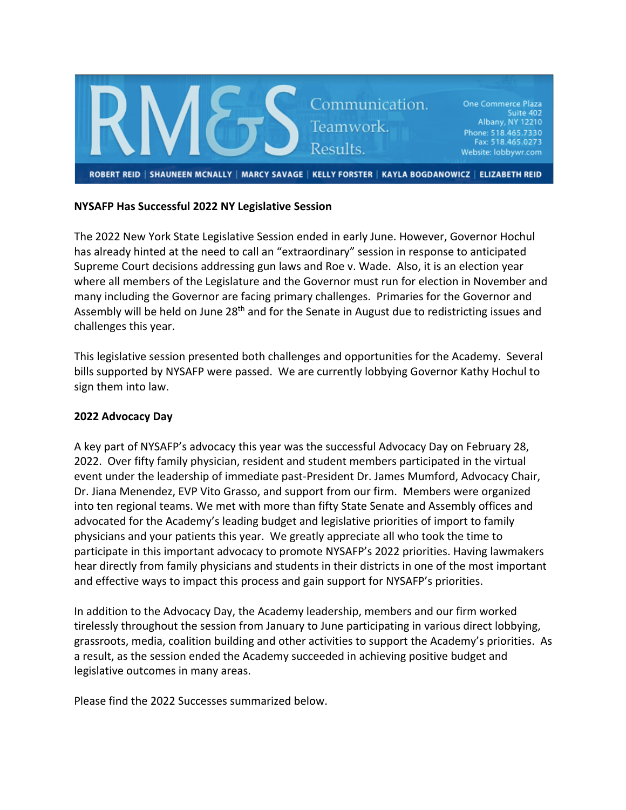

### **NYSAFP Has Successful 2022 NY Legislative Session**

The 2022 New York State Legislative Session ended in early June. However, Governor Hochul has already hinted at the need to call an "extraordinary" session in response to anticipated Supreme Court decisions addressing gun laws and Roe v. Wade. Also, it is an election year where all members of the Legislature and the Governor must run for election in November and many including the Governor are facing primary challenges. Primaries for the Governor and Assembly will be held on June 28<sup>th</sup> and for the Senate in August due to redistricting issues and challenges this year.

This legislative session presented both challenges and opportunities for the Academy. Several bills supported by NYSAFP were passed. We are currently lobbying Governor Kathy Hochul to sign them into law.

#### **2022 Advocacy Day**

A key part of NYSAFP's advocacy this year was the successful Advocacy Day on February 28, 2022. Over fifty family physician, resident and student members participated in the virtual event under the leadership of immediate past-President Dr. James Mumford, Advocacy Chair, Dr. Jiana Menendez, EVP Vito Grasso, and support from our firm. Members were organized into ten regional teams. We met with more than fifty State Senate and Assembly offices and advocated for the Academy's leading budget and legislative priorities of import to family physicians and your patients this year. We greatly appreciate all who took the time to participate in this important advocacy to promote NYSAFP's 2022 priorities. Having lawmakers hear directly from family physicians and students in their districts in one of the most important and effective ways to impact this process and gain support for NYSAFP's priorities.

In addition to the Advocacy Day, the Academy leadership, members and our firm worked tirelessly throughout the session from January to June participating in various direct lobbying, grassroots, media, coalition building and other activities to support the Academy's priorities. As a result, as the session ended the Academy succeeded in achieving positive budget and legislative outcomes in many areas.

Please find the 2022 Successes summarized below.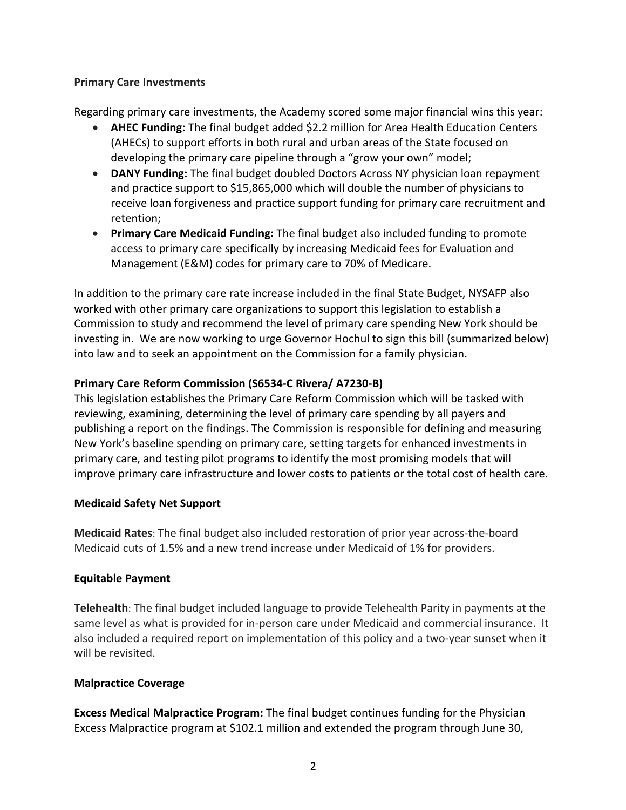### **Primary Care Investments**

Regarding primary care investments, the Academy scored some major financial wins this year:

- **AHEC Funding:** The final budget added \$2.2 million for Area Health Education Centers (AHECs) to support efforts in both rural and urban areas of the State focused on developing the primary care pipeline through a "grow your own" model;
- **DANY Funding:** The final budget doubled Doctors Across NY physician loan repayment and practice support to \$15,865,000 which will double the number of physicians to receive loan forgiveness and practice support funding for primary care recruitment and retention;
- **Primary Care Medicaid Funding:** The final budget also included funding to promote access to primary care specifically by increasing Medicaid fees for Evaluation and Management (E&M) codes for primary care to 70% of Medicare.

In addition to the primary care rate increase included in the final State Budget, NYSAFP also worked with other primary care organizations to support this legislation to establish a Commission to study and recommend the level of primary care spending New York should be investing in. We are now working to urge Governor Hochul to sign this bill (summarized below) into law and to seek an appointment on the Commission for a family physician.

## **Primary Care Reform Commission (S6534-C Rivera/ A7230-B)**

This legislation establishes the Primary Care Reform Commission which will be tasked with reviewing, examining, determining the level of primary care spending by all payers and publishing a report on the findings. The Commission is responsible for defining and measuring New York's baseline spending on primary care, setting targets for enhanced investments in primary care, and testing pilot programs to identify the most promising models that will improve primary care infrastructure and lower costs to patients or the total cost of health care.

## **Medicaid Safety Net Support**

**Medicaid Rates**: The final budget also included restoration of prior year across-the-board Medicaid cuts of 1.5% and a new trend increase under Medicaid of 1% for providers.

#### **Equitable Payment**

**Telehealth**: The final budget included language to provide Telehealth Parity in payments at the same level as what is provided for in-person care under Medicaid and commercial insurance. It also included a required report on implementation of this policy and a two-year sunset when it will be revisited.

## **Malpractice Coverage**

**Excess Medical Malpractice Program:** The final budget continues funding for the Physician Excess Malpractice program at \$102.1 million and extended the program through June 30,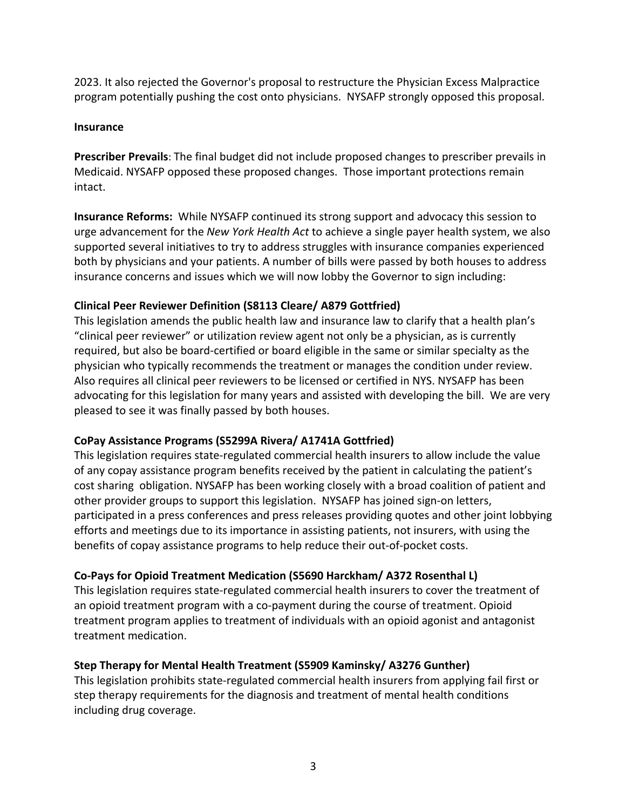2023. It also rejected the Governor's proposal to restructure the Physician Excess Malpractice program potentially pushing the cost onto physicians. NYSAFP strongly opposed this proposal.

#### **Insurance**

**Prescriber Prevails**: The final budget did not include proposed changes to prescriber prevails in Medicaid. NYSAFP opposed these proposed changes. Those important protections remain intact.

**Insurance Reforms:** While NYSAFP continued its strong support and advocacy this session to urge advancement for the *New York Health Act* to achieve a single payer health system, we also supported several initiatives to try to address struggles with insurance companies experienced both by physicians and your patients. A number of bills were passed by both houses to address insurance concerns and issues which we will now lobby the Governor to sign including:

### **Clinical Peer Reviewer Definition (S8113 Cleare/ A879 Gottfried)**

This legislation amends the public health law and insurance law to clarify that a health plan's "clinical peer reviewer" or utilization review agent not only be a physician, as is currently required, but also be board-certified or board eligible in the same or similar specialty as the physician who typically recommends the treatment or manages the condition under review. Also requires all clinical peer reviewers to be licensed or certified in NYS. NYSAFP has been advocating for this legislation for many years and assisted with developing the bill. We are very pleased to see it was finally passed by both houses.

#### **CoPay Assistance Programs (S5299A Rivera/ A1741A Gottfried)**

This legislation requires state-regulated commercial health insurers to allow include the value of any copay assistance program benefits received by the patient in calculating the patient's cost sharing obligation. NYSAFP has been working closely with a broad coalition of patient and other provider groups to support this legislation. NYSAFP has joined sign-on letters, participated in a press conferences and press releases providing quotes and other joint lobbying efforts and meetings due to its importance in assisting patients, not insurers, with using the benefits of copay assistance programs to help reduce their out-of-pocket costs.

#### **Co-Pays for Opioid Treatment Medication (S5690 Harckham/ A372 Rosenthal L)**

This legislation requires state-regulated commercial health insurers to cover the treatment of an opioid treatment program with a co-payment during the course of treatment. Opioid treatment program applies to treatment of individuals with an opioid agonist and antagonist treatment medication.

## **Step Therapy for Mental Health Treatment (S5909 Kaminsky/ A3276 Gunther)**

This legislation prohibits state-regulated commercial health insurers from applying fail first or step therapy requirements for the diagnosis and treatment of mental health conditions including drug coverage.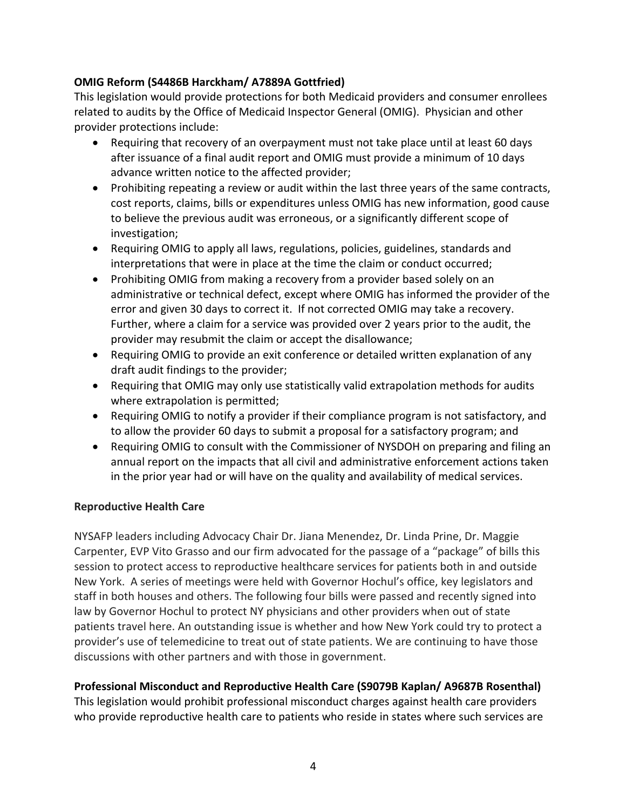# **OMIG Reform (S4486B Harckham/ A7889A Gottfried)**

This legislation would provide protections for both Medicaid providers and consumer enrollees related to audits by the Office of Medicaid Inspector General (OMIG). Physician and other provider protections include:

- Requiring that recovery of an overpayment must not take place until at least 60 days after issuance of a final audit report and OMIG must provide a minimum of 10 days advance written notice to the affected provider;
- Prohibiting repeating a review or audit within the last three years of the same contracts, cost reports, claims, bills or expenditures unless OMIG has new information, good cause to believe the previous audit was erroneous, or a significantly different scope of investigation;
- Requiring OMIG to apply all laws, regulations, policies, guidelines, standards and interpretations that were in place at the time the claim or conduct occurred;
- Prohibiting OMIG from making a recovery from a provider based solely on an administrative or technical defect, except where OMIG has informed the provider of the error and given 30 days to correct it. If not corrected OMIG may take a recovery. Further, where a claim for a service was provided over 2 years prior to the audit, the provider may resubmit the claim or accept the disallowance;
- Requiring OMIG to provide an exit conference or detailed written explanation of any draft audit findings to the provider;
- Requiring that OMIG may only use statistically valid extrapolation methods for audits where extrapolation is permitted;
- Requiring OMIG to notify a provider if their compliance program is not satisfactory, and to allow the provider 60 days to submit a proposal for a satisfactory program; and
- Requiring OMIG to consult with the Commissioner of NYSDOH on preparing and filing an annual report on the impacts that all civil and administrative enforcement actions taken in the prior year had or will have on the quality and availability of medical services.

## **Reproductive Health Care**

NYSAFP leaders including Advocacy Chair Dr. Jiana Menendez, Dr. Linda Prine, Dr. Maggie Carpenter, EVP Vito Grasso and our firm advocated for the passage of a "package" of bills this session to protect access to reproductive healthcare services for patients both in and outside New York. A series of meetings were held with Governor Hochul's office, key legislators and staff in both houses and others. The following four bills were passed and recently signed into law by Governor Hochul to protect NY physicians and other providers when out of state patients travel here. An outstanding issue is whether and how New York could try to protect a provider's use of telemedicine to treat out of state patients. We are continuing to have those discussions with other partners and with those in government.

# **Professional Misconduct and Reproductive Health Care (S9079B Kaplan/ A9687B Rosenthal)**

This legislation would prohibit professional misconduct charges against health care providers who provide reproductive health care to patients who reside in states where such services are